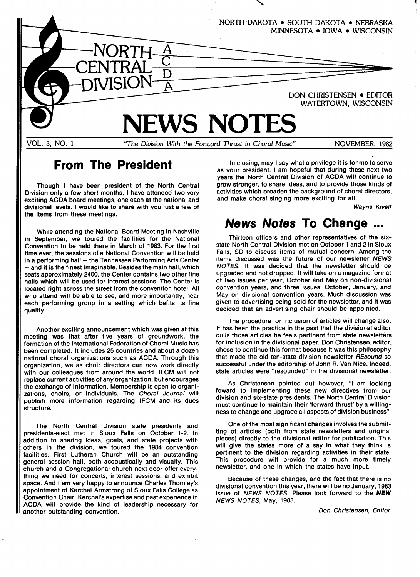

## From The President

Though I have been president of the North Central Division only a few short months, I have attended two very exciting ACDA board meetings, one each at the national and divisional levels. I would like to share with you just a few of the items from these meetings.

While attending the National Board Meeting in Nashville in September, we toured the facilities for the National Convention to be held there in March of 1983. For the first time ever, the sessions of a National Convention will be held in a performing hall -- the Tennessee Performing Arts Center --and it is the finest imaginable. Besides the main hall, which seats approximately 2400, the Center contains two other fine halls which will be used for interest sessions, The Center is located right across the street from the convention hotel. All who attend will be able to see, and more importantly, hear each performing group in a setting which befits its fine quality.

Another exciting announcement which was given at this meeting was that after five years of groundwork, the formation of the International Federation of Choral Music has been completed. It includes 25 countries and about a dozen national choral organizations such as ACDA. Through this organization, we as choir directors can now work directly with our colleagues from around the world. IFCM will not replace current activities of any organization, but encourages the exchange of information. Membership is open to organizations, choirs, or individuals. The Choral Journal will publish more information regarding IFCM and its dues structure.

The North Central Division state presidents and presidents-elect met in Sioux Falls on October 1-2. In addition to sharing ideas, goals, and state projects with others in the division, we toured the 1984 convention facilities. First Lutheran Church will be an outstanding general session hall, both accoustically and visually. This church and a Congregational church next door offer everything we need for concerts, interest sessions, and exhibit space. And I am very happy to announce Charles Thomley's appointment of Kerchal Armstrong of Sioux Falls College as Convention Chair. Kerchal's expertise and past experience in ACDA will provide the kind of leadership necessary for another outstanding convention.

In closing, may I say what a privilege it is for me to serve as your president. I am hopeful that during these next two years the North Central Division of ACDA will continue to grow stronger, to share ideas, and to provide those kinds of activities which broaden the background of choral directors, and make choral singing more exciting for all.

Wayne Kivell

#### News Notes To Change ...

Thirteen officers and other representatives of the sixstate North Central Division met on October 1 and 2 in Sioux Falls, SD to discuss items of mutual concern. Among the items discussed was the future of our newsletter  $NEWS$ NOTES. It was decided that the newsletter should be upgraded and not dropped. It will take on a magazine format of two issues per year, October and May on non-divisional convention years, and three issues, October, January, and May on divisional convention years. Much discussion was given to advertising being sold for the newsletter, and it was decided that an advertising chair should be appointed.

The procedure for inclusion of articles will change also. It has been the practice in the past that the divisional editor culls those articles he feels pertinent from state newsletters for inclusion in the divisional paper. Don Christensen, editor, chose to continue this format because it was this philosophy that made the old ten-state division newsletter  $REsound$  so successful under the editorship of John R. Van Nice. Indeed, state articles were "resounded" in the divisional newsletter.

As Christensen pointed out however, "I am looking toward to implementing these new directives from our division and six-state presidents. The North Central Division must continue to maintain their 'forward thrust' by a willingness to change and upgrade all aspects of division business".

One of the most significant changes involves the submitting of articles (both from state newsletters and original pieces) directly to the divisional editor for publication. This will give the states more of a say in what they think is pertinent to the division regarding activities in their state. This procedure will provide for a much more timely newsletter, and one in which the states have input.

Because of these changes, and the fact that there is no divisional convention this year, there will be` no January,1983 issue of NEWS NOTES. Please look forward to the NEW NEWS NOTES, May, 1983.

Don Christensen, Editor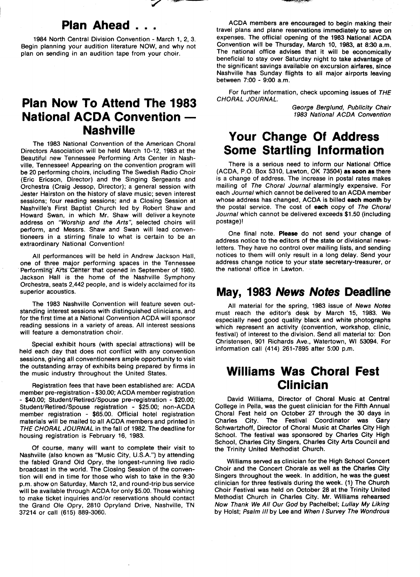# Plan Ahead . .

1984 North Central Division Convention - March 1, 2, 3. Begin planning your audition literature NOW, and why not plan on sending in an audition tape from your choir.

### Plan Now To Attend The 1983 National ACDA Convention -Nashville

The 1983 National Convention of the American Choral Directors Association will be held March 10-12, 1983 at the Beautiful new Tennessee Performing Arts Center in Nashville, Tennessee! Appearing on the convention program will be 20 performing choirs, including The Swedish Radio Choir (Eric Ericson, Director) and the Singing Sergeants and Orchestra (Craig Jessop, Director); a general session with Jester Hairston on the history of slave music; seven interest sessions; four reading sessions; and a Closing Session at Nashville's First Baptist Church led by Robert Shaw and Howard Swan, in which Mr. Shaw will deliver a keynote address on "Worship and the Arts", selected choirs will perform, and Messrs. Shaw and Swan will lead conventioneers in a stirring finale to what is certain to be an extraordinary National Convention!

All performances will be held in Andrew Jackson Hall, one of three major performing spaces in the Tennessee Performing-Arts-Center that opened in September of 1980. Jackson Hall is the home of the Nashville Symphony Orchestra, seats 2,442 people, and is widely acclaimed for its superior acoustics.

The 1983 Nashville Convention will feature seven outstanding interest sessions with distinguished clinicians, and for the first time at a National Convention ACDA will sponsor reading sessions in a variety of areas. All interest sessions will feature a demonstration choir.

Special exhibit hours (with special attractions) will be held each day that does not conflict with any convention sessions, giving all conventioneers ample opportunity to visit the outstanding array of exhibits being prepared by firms in the music industry throughout the United States.

Registration fees that have been established are: ACDA member pre-registration -\$30.00; ACDA member registration - \$40.00; Student/Retired/Spouse pre-registration - \$20.00; Student/Retired/Spouse registration - \$25.00; non-ACDA member registration - \$65.00. Official hotel registration materials will be mailed to all ACDA members and printed in THE CHORAL JOURNAL in the fall of 1982. The deadline for housing registration is February 16, 1983.

Of course, many will want to complete their visit to Nashville (also known as "Music City, U.S.A.") by attending the fabled Grand Old Opry, the longest-running live radio broadcast in the world. The Closing Session of the convention will end in time for those who wish to take in the 9:30 p.m. show on Saturday, March 12, and round-trip bus service will be available through ACDA for only \$5.00. Those wishing to make ticket inquiries and/or reservations should contact the Grand Ole Opry, 2810 0pryland Drive, Nashville, TN 37214 or call (615) 889-3060.

ACDA members are encouraged to begin making their travel plans and plane reservations immediately to save on expenses. The official opening of the 1983 National ACDA Convention will be Thursday, March 10, 1983, at 8:30 a.m. The national office advises that it will be economically beneficial to stay over Saturday night to take advantage of the significant savings available on excursion airfares, since Nashville has Sunday flights to all major airports leaving between  $7:00 - 9:00$  a.m.

For further information, check upcoming issues of THE CHORAL JOURNAL.

> George Berglund, Publicity Chair 1983 National ACDA Convention

## Your Change Of Address Some Startling Information

There is a serious need to inform our National Office (ACDA, P.O. Box 5310, Lawton, OK 73504) as soon as there is a change of address. The increase in postal rates makes mailing of The Choral Journal alarmingly expensive. For each Journal which cannot be delivered to an ACDA member whose address has changed, ACDA is billed each month by the postal service. The cost of each copy of The Chora/ Journal which cannot be delivered exceeds \$1.50 (including postage)I

One final note. Please do not send your change of address notice to the editors of the state or divisional newsletters. They have no control over mailing lists, and sending notices to them will only result in a long delay. Send your address change notice to your state secretary-treasurer, or the national office in Lawton.

#### May, 1983 News Notes Deadline

All material for the spring, 1983 issue of News Notes must reach the editor's desk by March 15, 1983. We especially need good quality black and white photographs which represent an activity (convention, workshop, clinic, festival) of interest to the division. Send all material to: Don Christensen, 901 Richards Ave., Watertown, WI 53094. For information call  $(414)$  261-7895 after 5:00 p.m.

### Williams Was Choral Fest Clinician

David Williams, Director of Choral Music at Central College in Pella, was the guest clinician for the Fifth Annual Choral Fest held on October 27 through the 30 days in City. The Festival Coordinator was Gary Schwartzhoff, Director of Choral Music at Charles City High School. The festival was sponsored by Charles City High School, Charles City Singers, Charles City Arts Council and the Trinity United Methodist Church.

Williams served as clinician for the High School Concert Choir and the Concert Chorale as well as the Charles City Singers throughout the week. In addition, he was the guest clinician for three festivals during the week. (1) The Church Choir Festival was held on October 28 at the Trinity United Methodist Church in Charles City. Mr. Williams rehearsed Now Thank We All Our God by Pachelbel; Lullay My Liking by Holst: Psalm III by Lee and When I Survey The Wondrous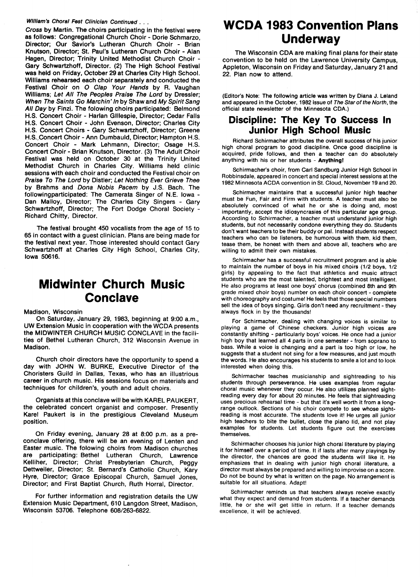#### William's Choral Fest Clinician Continued . . .

Cross by Martin. The choirs participating in the festival were as follows: Congregational Church Choir - Dorie Schmarzo, Director; Our Savior's Lutheran Church Choir - Brian Knutson, Director; St. Paul's Lutheran Church Choir - Alan Hagen, Director; Trinity United Methodist Church Choir - Gary Schwartzhoff, Director. (2) The High School Festival was held on Friday, October 29 at Charles City High School. Williams rehearsed each choir separately and conducted the Festival Choir on O Clap Your Hands by R. Vaughan Williams; Let All The Peoples Praise The Lord by Dressler; When The Saints Go Marchin' In by Shaw and My Spirit Sang All Day by Finzi. The folowing choirs participated: Belmond H.S. Concert Choir - Harlan Gillespie, Director; Cedar Falls H.S. Concert Choir - John Evenson, Director; Charles City H.S. Concert Choirs - Gary Schwartzhoff, Director; Greene H.S., Concert Choir - Ann Dumbauld, Director; Hampton H.S. Concert Choir - Mark Lehmann, Director; Osage H.S. Concert Choir -Brian Knutson, Director. (3) The Adult Choir Festival was held on October 30 at the Trinity United Methodist Church in Charles City. Williams held clinic sessions with each choir and conducted the Festival choir on Praise To The Lord by Distler; Let Nothing Ever Grieve Thee by Brahms and Dona Nobis Pacem by J.S. Bach. The followingparticipated: The Camerata Singer of N.E. Iowa - Dan Malloy, Director; The Charles City Singers - Gary Schwartzhoff, Director; The Fort Dodge Choral Society - Richard Chitty, Director.

The festival brought 450 vocalists from the age of 15 to 65 in contact with a guest clinician. Plans are being made for the festival next year. Those interested should contact Gary Schwartzhoff at Charles City High School, Charles City, Iowa 50616.

### Midwinter Church Music Conclave

Madison, Wisconsin

On Saturday, January 29, 1983, beginning at 9:00 a.m., UW Extension Music in cooperation with the WCDA presents the MIDWINTER CHURCH MUSIC CONCLAVE in the facilities of Bethel Lutheran Church, 312 Wisconsin Avenue in Madison.

Church choir directors have the opportunity to spend a day with JOHN W. BUPKE, Executive Director of the Choristers Guild in Dallas, Texas, who has an illustrious career in church music. His sessions focus on materials and techniques for children's, youth and adult choirs.

Organists at this conclave will be with KAPEL PAUKEPT, the celebrated concert organist and composer. Presently Karel Paukert is in the prestigious cleveland Museum position.

On Friday evening, January 28 at 8:00 p.m. as a preconclave offering, there will be an evening of Lenten and Easter music. The folowing choirs from Madison churches are participating: Bethel Lutheran Church, Lawrence Kelliher, Director; Christ Presbyterian Church, Peggy Dettweiler, Director; St. Bernard's Catholic Church, Kary Hyre, Director; Grace Episcopal Church, Samuel Jones, Director; and First Baptist Church, Ruth Horral, Director.

For further information and registration details the UW Extension Music Department, 610 Langdon Street, Madison, Wisconsin 53706. Telephone 608/263-6822.

### WCDA 1983 Convention plans Underway

The Wisconsin CDA are making final plans for their state convention to be held on the Lawrence University Campus, Appleton, Wisconsin on Friday and Saturday, January 21 and 22. plan now to attend.

(Editor's Note: The following article was written by Diana J. Leland and appeared in the October, 1982 issue of The Star of the North, the official state newsletter of the Minnesota CDA.)

#### Discipline: The Key To Success ln Junior High School Music

Richard Schirmacher attributes the overall success of his junior high choral program to good discipline. Once good discipline is acquired, pride follows, and then a teacher can do absolutely anything with his or her students - Anythingl

Schirmacher's choir, from Carl Sandburg Junior High School in Robbinsdale, appeared in concert and special interest sessions at the 1982 Minnesota ACDA convention in St. cloud, November 19 and 20.

Schirmacher maintains that a successful junior high teacher must be Fun, Fair and Firm with students. A teacher must also be absolutely convinced of what he or she is doing and, most importantly, accept the idiosyncrasies of this particular age group. According to Schirmacher, a teacher must understand junior high students, but not necessarily condone everything they do. Students don't want teachers to be their buddy or pal. Instead students respect teachers who can be listeners, be humorous with them, kid them, tease them, be honest with them and above all, teachers who are willing to admit their own mistakes,

Schirmacher has a successful recruitment program and is able to maintain the number of boys in his mixed choirs (1/2 boys, 1/2 girls) by appealing to the fact that athletics and music attract students who are the most talented, brightest and most intelligent. He also programs at least one boys' chorus (combined 8th and 9th grade mixed choir boys) number on each choir concert - complete with choreography and costume! He feels that those special numbers sell the idea of boys singing. Girls don't need any recruitment - they always flock in by the thousands!

For Schirmacher, dealing with changing voices is similar to playing a game of Chinese checkers. Junior high voices are constantly shifting - particularly boys' voices. He once had a junior high boy that learned all 4 parts in one semester - from soprano to bass. While a voice is changing and a part is too high or low, he suggests that a student not sing for a few measures, and just mouth the words. He also encourages his students to smile a lot and to look interested when doing this.

Schirmacher teaches musicianship and sightreading to his students through perseverance. He uses examples from regular choral music whenever they occur. He also utilizes planned sightreading every day for about 20 minutes. He feels that sightreading uses precious rehearsal time - but that it's well worth it from a longrange outlook. Sections of his choir compete to see whose sightreading is most accurate. The students love it! He urges all junior high teachers to bite the bullet, close the piano lid, and not play examples for students. Let students figure out the exercises themselves.

Schirmacher chooses his junior high choral literature by playing it for himself over a period of time. It if lasts after many playings by the director, the chances are good the students will like it. He emphasizes that in dealing with junior high choral literature, a director must always be prepared and willing to improvise on a score. Do not be bound by what is written on the page. No arrangement is suitable for all situations. Adapt!

Schirmacher reminds us that teachers always receive exactly what they expect and demand from students. If a teacher demands little, he or she will get little in return. If a teacher demands excellence, jt will be achieved.